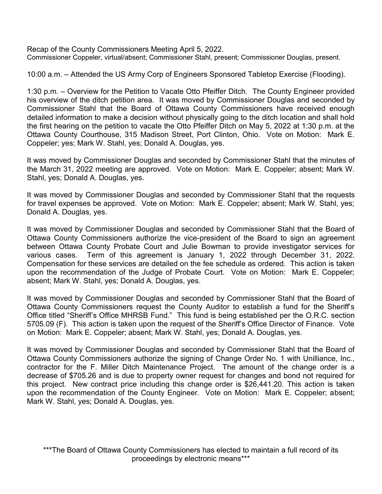Recap of the County Commissioners Meeting April 5, 2022. Commissioner Coppeler, virtual/absent; Commissioner Stahl, present; Commissioner Douglas, present.

10:00 a.m. – Attended the US Army Corp of Engineers Sponsored Tabletop Exercise (Flooding).

1:30 p.m. – Overview for the Petition to Vacate Otto Pfeiffer Ditch. The County Engineer provided his overview of the ditch petition area. It was moved by Commissioner Douglas and seconded by Commissioner Stahl that the Board of Ottawa County Commissioners have received enough detailed information to make a decision without physically going to the ditch location and shall hold the first hearing on the petition to vacate the Otto Pfeiffer Ditch on May 5, 2022 at 1:30 p.m. at the Ottawa County Courthouse, 315 Madison Street, Port Clinton, Ohio. Vote on Motion: Mark E. Coppeler; yes; Mark W. Stahl, yes; Donald A. Douglas, yes.

It was moved by Commissioner Douglas and seconded by Commissioner Stahl that the minutes of the March 31, 2022 meeting are approved. Vote on Motion: Mark E. Coppeler; absent; Mark W. Stahl, yes; Donald A. Douglas, yes.

It was moved by Commissioner Douglas and seconded by Commissioner Stahl that the requests for travel expenses be approved. Vote on Motion: Mark E. Coppeler; absent; Mark W. Stahl, yes; Donald A. Douglas, yes.

It was moved by Commissioner Douglas and seconded by Commissioner Stahl that the Board of Ottawa County Commissioners authorize the vice-president of the Board to sign an agreement between Ottawa County Probate Court and Julie Bowman to provide investigator services for various cases. Term of this agreement is January 1, 2022 through December 31, 2022. Compensation for these services are detailed on the fee schedule as ordered. This action is taken upon the recommendation of the Judge of Probate Court. Vote on Motion: Mark E. Coppeler; absent; Mark W. Stahl, yes; Donald A. Douglas, yes.

It was moved by Commissioner Douglas and seconded by Commissioner Stahl that the Board of Ottawa County Commissioners request the County Auditor to establish a fund for the Sheriff's Office titled "Sheriff's Office MHRSB Fund." This fund is being established per the O.R.C. section 5705.09 (F). This action is taken upon the request of the Sheriff's Office Director of Finance. Vote on Motion: Mark E. Coppeler; absent; Mark W. Stahl, yes; Donald A. Douglas, yes.

It was moved by Commissioner Douglas and seconded by Commissioner Stahl that the Board of Ottawa County Commissioners authorize the signing of Change Order No. 1 with Unilliance, Inc., contractor for the F. Miller Ditch Maintenance Project. The amount of the change order is a decrease of \$705.26 and is due to property owner request for changes and bond not required for this project. New contract price including this change order is \$26,441.20. This action is taken upon the recommendation of the County Engineer. Vote on Motion: Mark E. Coppeler; absent; Mark W. Stahl, yes; Donald A. Douglas, yes.